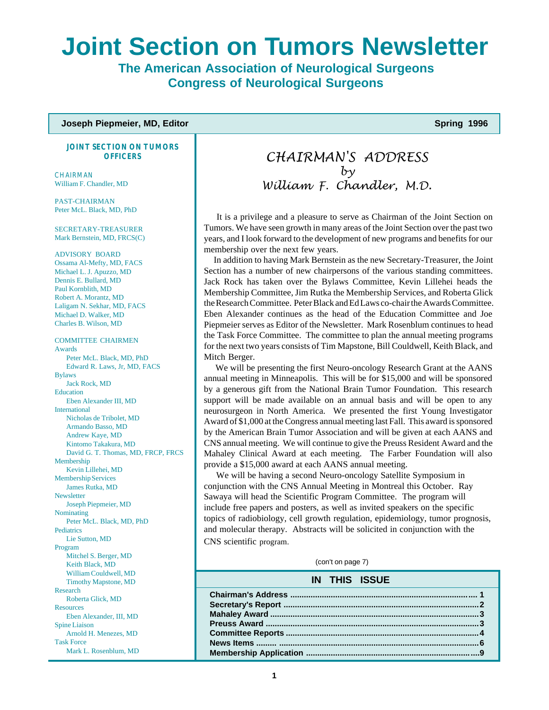# **Joint Section on Tumors Newsletter**

**The American Association of Neurological Surgeons Congress of Neurological Surgeons**

#### **Joseph Piepmeier, MD, Editor Spring 1996 Spring 1996**

**JOINT SECTION ON TUMORS OFFICERS**

**CHAIRMAN** William F. Chandler, MD

PAST-CHAIRMAN Peter McL. Black, MD, PhD

SECRETARY-TREASURER Mark Bernstein, MD, FRCS(C)

ADVISORY BOARD Ossama Al-Mefty, MD, FACS Michael L. J. Apuzzo, MD Dennis E. Bullard, MD Paul Kornblith, MD Robert A. Morantz, MD Laligam N. Sekhar, MD, FACS Michael D. Walker, MD Charles B. Wilson, MD

COMMITTEE CHAIRMEN Awards Peter McL. Black, MD, PhD Edward R. Laws, Jr, MD, FACS Bylaws Jack Rock, MD Education Eben Alexander III, MD International Nicholas de Tribolet, MD Armando Basso, MD Andrew Kaye, MD Kintomo Takakura, MD David G. T. Thomas, MD, FRCP, FRCS Membership Kevin Lillehei, MD Membership Services James Rutka, MD **Newsletter** Joseph Piepmeier, MD Nominating Peter McL. Black, MD, PhD **Pediatrics** Lie Sutton, MD Program Mitchel S. Berger, MD Keith Black, MD William Couldwell, MD Timothy Mapstone, MD Research Roberta Glick, MD **Resources** Eben Alexander, III, MD Spine Liaison Arnold H. Menezes, MD Task Force Mark L. Rosenblum, MD

# CHAIRMAN'S ADDRESS by William F. Chandler, M.D.

 It is a privilege and a pleasure to serve as Chairman of the Joint Section on Tumors. We have seen growth in many areas of the Joint Section over the past two years, and I look forward to the development of new programs and benefits for our membership over the next few years.

 In addition to having Mark Bernstein as the new Secretary-Treasurer, the Joint Section has a number of new chairpersons of the various standing committees. Jack Rock has taken over the Bylaws Committee, Kevin Lillehei heads the Membership Committee, Jim Rutka the Membership Services, and Roberta Glick the Research Committee. Peter Black and Ed Laws co-chair the Awards Committee. Eben Alexander continues as the head of the Education Committee and Joe Piepmeier serves as Editor of the Newsletter. Mark Rosenblum continues to head the Task Force Committee. The committee to plan the annual meeting programs for the next two years consists of Tim Mapstone, Bill Couldwell, Keith Black, and Mitch Berger.

 We will be presenting the first Neuro-oncology Research Grant at the AANS annual meeting in Minneapolis. This will be for \$15,000 and will be sponsored by a generous gift from the National Brain Tumor Foundation. This research support will be made available on an annual basis and will be open to any neurosurgeon in North America. We presented the first Young Investigator Award of \$1,000 at the Congress annual meeting last Fall. This award is sponsored by the American Brain Tumor Association and will be given at each AANS and CNS annual meeting. We will continue to give the Preuss Resident Award and the Mahaley Clinical Award at each meeting. The Farber Foundation will also provide a \$15,000 award at each AANS annual meeting.

 We will be having a second Neuro-oncology Satellite Symposium in conjunction with the CNS Annual Meeting in Montreal this October. Ray Sawaya will head the Scientific Program Committee. The program will include free papers and posters, as well as invited speakers on the specific topics of radiobiology, cell growth regulation, epidemiology, tumor prognosis, and molecular therapy. Abstracts will be solicited in conjunction with the CNS scientific program.

(con't on page 7)

# **Chairman's Address ................................................................................... 1 Secretary's Report .......................................................................................2 Mahaley Award .............................................................................................3 Preuss Award ...............................................................................................3 Committee Reports ......................................................................................4 News Items ......... .........................................................................................6 Membership Application .............................................................................9 IN THIS ISSUE**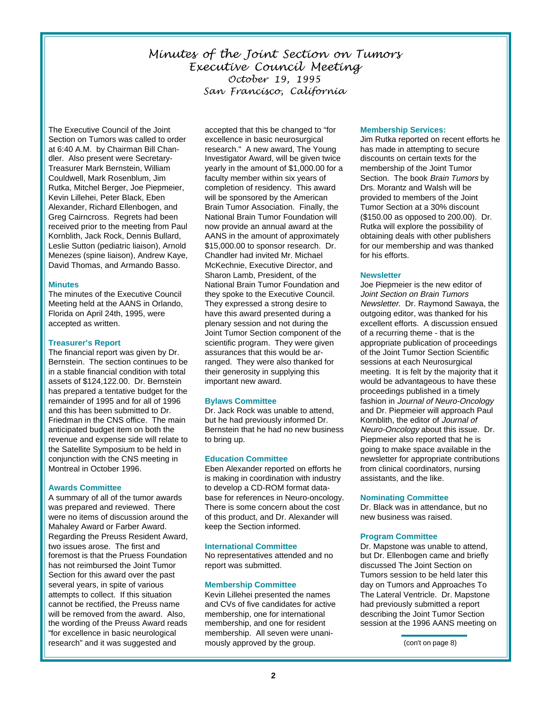# Minutes of the Joint Section on Tumors Executive Council Meeting October 19, 1995 San Francisco, California

The Executive Council of the Joint Section on Tumors was called to order at 6:40 A.M. by Chairman Bill Chandler. Also present were Secretary-Treasurer Mark Bernstein, William Couldwell, Mark Rosenblum, Jim Rutka, Mitchel Berger, Joe Piepmeier, Kevin Lillehei, Peter Black, Eben Alexander, Richard Ellenbogen, and Greg Cairncross. Regrets had been received prior to the meeting from Paul Kornblith, Jack Rock, Dennis Bullard, Leslie Sutton (pediatric liaison), Arnold Menezes (spine liaison), Andrew Kaye, David Thomas, and Armando Basso.

#### **Minutes**

The minutes of the Executive Council Meeting held at the AANS in Orlando, Florida on April 24th, 1995, were accepted as written.

#### **Treasurer's Report**

The financial report was given by Dr. Bernstein. The section continues to be in a stable financial condition with total assets of \$124,122.00. Dr. Bernstein has prepared a tentative budget for the remainder of 1995 and for all of 1996 and this has been submitted to Dr. Friedman in the CNS office. The main anticipated budget item on both the revenue and expense side will relate to the Satellite Symposium to be held in conjunction with the CNS meeting in Montreal in October 1996.

#### **Awards Committee**

A summary of all of the tumor awards was prepared and reviewed. There were no items of discussion around the Mahaley Award or Farber Award. Regarding the Preuss Resident Award, two issues arose. The first and foremost is that the Pruess Foundation has not reimbursed the Joint Tumor Section for this award over the past several years, in spite of various attempts to collect. If this situation cannot be rectified, the Preuss name will be removed from the award. Also, the wording of the Preuss Award reads "for excellence in basic neurological research" and it was suggested and

accepted that this be changed to "for excellence in basic neurosurgical research." A new award, The Young Investigator Award, will be given twice yearly in the amount of \$1,000.00 for a faculty member within six years of completion of residency. This award will be sponsored by the American Brain Tumor Association. Finally, the National Brain Tumor Foundation will now provide an annual award at the AANS in the amount of approximately \$15,000.00 to sponsor research. Dr. Chandler had invited Mr. Michael McKechnie, Executive Director, and Sharon Lamb, President, of the National Brain Tumor Foundation and they spoke to the Executive Council. They expressed a strong desire to have this award presented during a plenary session and not during the Joint Tumor Section component of the scientific program. They were given assurances that this would be arranged. They were also thanked for their generosity in supplying this important new award.

## **Bylaws Committee**

Dr. Jack Rock was unable to attend, but he had previously informed Dr. Bernstein that he had no new business to bring up.

## **Education Committee**

Eben Alexander reported on efforts he is making in coordination with industry to develop a CD-ROM format database for references in Neuro-oncology. There is some concern about the cost of this product, and Dr. Alexander will keep the Section informed.

#### **International Committee**

No representatives attended and no report was submitted.

## **Membership Committee**

Kevin Lillehei presented the names and CVs of five candidates for active membership, one for international membership, and one for resident membership. All seven were unanimously approved by the group.

#### **Membership Services:**

Jim Rutka reported on recent efforts he has made in attempting to secure discounts on certain texts for the membership of the Joint Tumor Section. The book Brain Tumors by Drs. Morantz and Walsh will be provided to members of the Joint Tumor Section at a 30% discount (\$150.00 as opposed to 200.00). Dr. Rutka will explore the possibility of obtaining deals with other publishers for our membership and was thanked for his efforts.

#### **Newsletter**

Joe Piepmeier is the new editor of Joint Section on Brain Tumors Newsletter. Dr. Raymond Sawaya, the outgoing editor, was thanked for his excellent efforts. A discussion ensued of a recurring theme - that is the appropriate publication of proceedings of the Joint Tumor Section Scientific sessions at each Neurosurgical meeting. It is felt by the majority that it would be advantageous to have these proceedings published in a timely fashion in Journal of Neuro-Oncology and Dr. Piepmeier will approach Paul Kornblith, the editor of Journal of Neuro-Oncology about this issue. Dr. Piepmeier also reported that he is going to make space available in the newsletter for appropriate contributions from clinical coordinators, nursing assistants, and the like.

#### **Nominating Committee**

Dr. Black was in attendance, but no new business was raised.

#### **Program Committee**

Dr. Mapstone was unable to attend, but Dr. Ellenbogen came and briefly discussed The Joint Section on Tumors session to be held later this day on Tumors and Approaches To The Lateral Ventricle. Dr. Mapstone had previously submitted a report describing the Joint Tumor Section session at the 1996 AANS meeting on

(con't on page 8)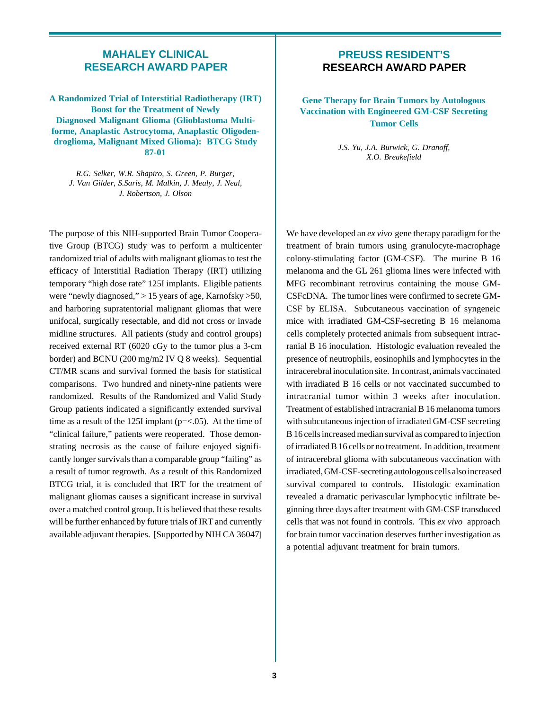# **MAHALEY CLINICAL RESEARCH AWARD PAPER**

**A Randomized Trial of Interstitial Radiotherapy (IRT) Boost for the Treatment of Newly Diagnosed Malignant Glioma (Glioblastoma Multiforme, Anaplastic Astrocytoma, Anaplastic Oligodendroglioma, Malignant Mixed Glioma): BTCG Study 87-01**

*R.G. Selker, W.R. Shapiro, S. Green, P. Burger, J. Van Gilder, S.Saris, M. Malkin, J. Mealy, J. Neal, J. Robertson, J. Olson*

The purpose of this NIH-supported Brain Tumor Cooperative Group (BTCG) study was to perform a multicenter randomized trial of adults with malignant gliomas to test the efficacy of Interstitial Radiation Therapy (IRT) utilizing temporary "high dose rate" 125I implants. Eligible patients were "newly diagnosed," > 15 years of age, Karnofsky >50, and harboring supratentorial malignant gliomas that were unifocal, surgically resectable, and did not cross or invade midline structures. All patients (study and control groups) received external RT (6020 cGy to the tumor plus a 3-cm border) and BCNU (200 mg/m2 IV Q 8 weeks). Sequential CT/MR scans and survival formed the basis for statistical comparisons. Two hundred and ninety-nine patients were randomized. Results of the Randomized and Valid Study Group patients indicated a significantly extended survival time as a result of the 125I implant (p=<.05). At the time of "clinical failure," patients were reoperated. Those demonstrating necrosis as the cause of failure enjoyed significantly longer survivals than a comparable group "failing" as a result of tumor regrowth. As a result of this Randomized BTCG trial, it is concluded that IRT for the treatment of malignant gliomas causes a significant increase in survival over a matched control group. It is believed that these results will be further enhanced by future trials of IRT and currently available adjuvant therapies. [Supported by NIH CA 36047]

# **PREUSS RESIDENT'S RESEARCH AWARD PAPER**

**Gene Therapy for Brain Tumors by Autologous Vaccination with Engineered GM-CSF Secreting Tumor Cells**

> *J.S. Yu, J.A. Burwick, G. Dranoff, X.O. Breakefield*

We have developed an *ex vivo* gene therapy paradigm for the treatment of brain tumors using granulocyte-macrophage colony-stimulating factor (GM-CSF). The murine B 16 melanoma and the GL 261 glioma lines were infected with MFG recombinant retrovirus containing the mouse GM-CSFcDNA. The tumor lines were confirmed to secrete GM-CSF by ELISA. Subcutaneous vaccination of syngeneic mice with irradiated GM-CSF-secreting B 16 melanoma cells completely protected animals from subsequent intracranial B 16 inoculation. Histologic evaluation revealed the presence of neutrophils, eosinophils and lymphocytes in the intracerebral inoculation site. In contrast, animals vaccinated with irradiated B 16 cells or not vaccinated succumbed to intracranial tumor within 3 weeks after inoculation. Treatment of established intracranial B 16 melanoma tumors with subcutaneous injection of irradiated GM-CSF secreting B 16 cells increased median survival as compared to injection of irradiated B 16 cells or no treatment. In addition, treatment of intracerebral glioma with subcutaneous vaccination with irradiated, GM-CSF-secreting autologous cells also increased survival compared to controls. Histologic examination revealed a dramatic perivascular lymphocytic infiltrate beginning three days after treatment with GM-CSF transduced cells that was not found in controls. This *ex vivo* approach for brain tumor vaccination deserves further investigation as a potential adjuvant treatment for brain tumors.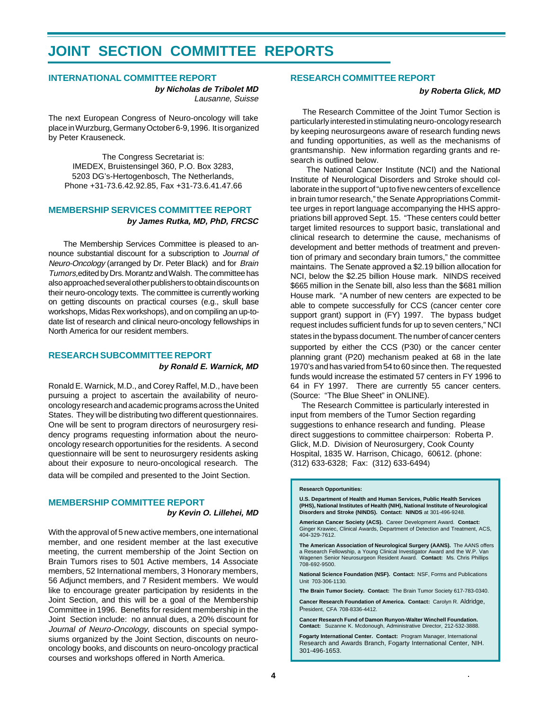# **JOINT SECTION COMMITTEE REPORTS**

#### **INTERNATIONAL COMMITTEE REPORT**

**by Nicholas de Tribolet MD** Lausanne, Suisse

The next European Congress of Neuro-oncology will take place in Wurzburg, Germany October 6-9, 1996. It is organized by Peter Krauseneck.

The Congress Secretariat is: IMEDEX, Bruistensingel 360, P.O. Box 3283, 5203 DG's-Hertogenbosch, The Netherlands, Phone +31-73.6.42.92.85, Fax +31-73.6.41.47.66

#### **MEMBERSHIP SERVICES COMMITTEE REPORT by James Rutka, MD, PhD, FRCSC**

 The Membership Services Committee is pleased to announce substantial discount for a subscription to Journal of Neuro-Oncology (arranged by Dr. Peter Black) and for Brain Tumors, edited by Drs. Morantz and Walsh. The committee has also approached several other publishers to obtain discounts on their neuro-oncology texts. The committee is currently working on getting discounts on practical courses (e.g., skull base workshops, Midas Rex workshops), and on compiling an up-todate list of research and clinical neuro-oncology fellowships in North America for our resident members.

#### **RESEARCH SUBCOMMITTEE REPORT by Ronald E. Warnick, MD**

Ronald E. Warnick, M.D., and Corey Raffel, M.D., have been pursuing a project to ascertain the availability of neurooncology research and academic programs across the United States. They will be distributing two different questionnaires. One will be sent to program directors of neurosurgery residency programs requesting information about the neurooncology research opportunities for the residents. A second questionnaire will be sent to neurosurgery residents asking about their exposure to neuro-oncological research. The data will be compiled and presented to the Joint Section.

## **MEMBERSHIP COMMITTEE REPORT**

**by Kevin O. Lillehei, MD**

With the approval of 5 new active members, one international member, and one resident member at the last executive meeting, the current membership of the Joint Section on Brain Tumors rises to 501 Active members, 14 Associate members, 52 International members, 3 Honorary members, 56 Adjunct members, and 7 Resident members. We would like to encourage greater participation by residents in the Joint Section, and this will be a goal of the Membership Committee in 1996. Benefits for resident membership in the Joint Section include: no annual dues, a 20% discount for Journal of Neuro-Oncology, discounts on special symposiums organized by the Joint Section, discounts on neurooncology books, and discounts on neuro-oncology practical courses and workshops offered in North America.

# **RESEARCH COMMITTEE REPORT**

#### **by Roberta Glick, MD**

 The Research Committee of the Joint Tumor Section is particularly interested in stimulating neuro-oncology research by keeping neurosurgeons aware of research funding news and funding opportunities, as well as the mechanisms of grantsmanship. New information regarding grants and research is outlined below.

 The National Cancer Institute (NCI) and the National Institute of Neurological Disorders and Stroke should collaborate in the support of "up to five new centers of excellence in brain tumor research," the Senate Appropriations Committee urges in report language accompanying the HHS appropriations bill approved Sept. 15. "These centers could better target limited resources to support basic, translational and clinical research to determine the cause, mechanisms of development and better methods of treatment and prevention of primary and secondary brain tumors," the committee maintains. The Senate approved a \$2.19 billion allocation for NCI, below the \$2.25 billion House mark. NINDS received \$665 million in the Senate bill, also less than the \$681 million House mark. "A number of new centers are expected to be able to compete successfully for CCS (cancer center core support grant) support in (FY) 1997. The bypass budget request includes sufficient funds for up to seven centers," NCI

states in the bypass document. The number of cancer centers supported by either the CCS (P30) or the cancer center planning grant (P20) mechanism peaked at 68 in the late 1970's and has varied from 54 to 60 since then. The requested funds would increase the estimated 57 centers in FY 1996 to 64 in FY 1997. There are currently 55 cancer centers. (Source: "The Blue Sheet" in ONLINE).

 The Research Committee is particularly interested in input from members of the Tumor Section regarding suggestions to enhance research and funding. Please direct suggestions to committee chairperson: Roberta P. Glick, M.D. Division of Neurosurgery, Cook County Hospital, 1835 W. Harrison, Chicago, 60612. (phone: (312) 633-6328; Fax: (312) 633-6494)

#### **Research Opportunities:**

**U.S. Department of Health and Human Services, Public Health Services (PHS), National Institutes of Health (NIH), National Institute of Neurological Disorders and Stroke (NINDS). Contact: NINDS** at 301-496-9248.

**American Cancer Society (ACS).** Career Development Award. **Contact:** Ginger Krawiec, Clinical Awards, Department of Detection and Treatment, ACS, 404-329-7612.

**The American Association of Neurological Surgery (AANS).** The AANS offers<br>a Research Fellowship, a Young Clinical Investigator Award and the W.P. Van Wagenen Senior Neurosurgeon Resident Award. **Contact:** Ms. Chris Phillips 708-692-9500.

**National Science Foundation (NSF). Contact:** NSF, Forms and Publications Unit 703-306-1130.

**The Brain Tumor Society. Contact:** The Brain Tumor Society 617-783-0340.

**Cancer Research Foundation of America. Contact:** Carolyn R. Aldridge, President, CFA 708-8336-4412.

**Cancer Research Fund of Damon Runyon-Walter Winchell Foundation. Contact:** Suzanne K. Mcdonough, Administrative Director, 212-532-3888.

**Fogarty International Center. Contact:** Program Manager, International Research and Awards Branch, Fogarty International Center, NIH. 301-496-1653.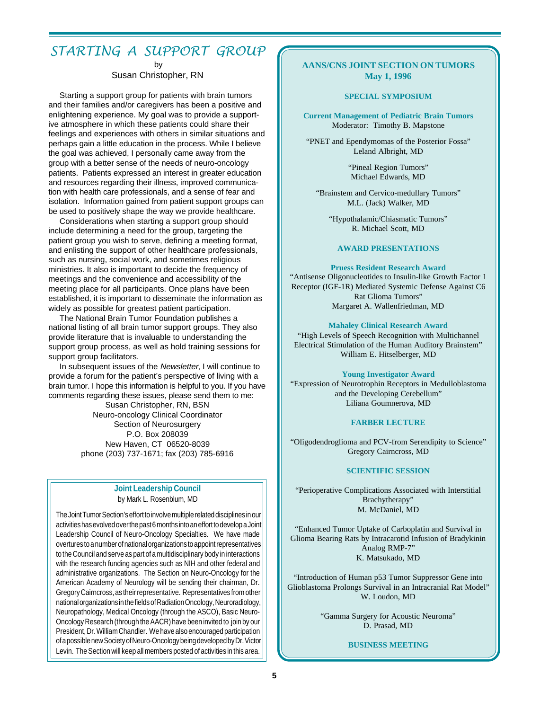# STARTING A SUPPORT GROUP

by

Susan Christopher, RN

Starting a support group for patients with brain tumors and their families and/or caregivers has been a positive and enlightening experience. My goal was to provide a supportive atmosphere in which these patients could share their feelings and experiences with others in similar situations and perhaps gain a little education in the process. While I believe the goal was achieved, I personally came away from the group with a better sense of the needs of neuro-oncology patients. Patients expressed an interest in greater education and resources regarding their illness, improved communication with health care professionals, and a sense of fear and isolation. Information gained from patient support groups can be used to positively shape the way we provide healthcare.

 Considerations when starting a support group should include determining a need for the group, targeting the patient group you wish to serve, defining a meeting format, and enlisting the support of other healthcare professionals, such as nursing, social work, and sometimes religious ministries. It also is important to decide the frequency of meetings and the convenience and accessibility of the meeting place for all participants. Once plans have been established, it is important to disseminate the information as widely as possible for greatest patient participation.

 The National Brain Tumor Foundation publishes a national listing of all brain tumor support groups. They also provide literature that is invaluable to understanding the support group process, as well as hold training sessions for support group facilitators.

 In subsequent issues of the Newsletter, I will continue to provide a forum for the patient's perspective of living with a brain tumor. I hope this information is helpful to you. If you have comments regarding these issues, please send them to me: Susan Christopher, RN, BSN Neuro-oncology Clinical Coordinator Section of Neurosurgery P.O. Box 208039 New Haven, CT 06520-8039 phone (203) 737-1671; fax (203) 785-6916

# **Joint Leadership Council** by Mark L. Rosenblum, MD

The Joint Tumor Section's effort to involve multiple related disciplines in our activities has evolved over the past 6 months into an effort to develop a Joint Leadership Council of Neuro-Oncology Specialties. We have made overtures to a number of national organizations to appoint representatives to the Council and serve as part of a multidisciplinary body in interactions with the research funding agencies such as NIH and other federal and administrative organizations. The Section on Neuro-Oncology for the American Academy of Neurology will be sending their chairman, Dr. Gregory Cairncross, as their representative. Representatives from other national organizations in the fields of Radiation Oncology, Neuroradiology, Neuropathology, Medical Oncology (through the ASCO), Basic Neuro-Oncology Research (through the AACR) have been invited to join by our President, Dr. William Chandler. We have also encouraged participation of a possible new Society of Neuro-Oncology being developed by Dr. Victor Levin. The Section will keep all members posted of activities in this area.

## **AANS/CNS JOINT SECTION ON TUMORS May 1, 1996**

#### **SPECIAL SYMPOSIUM**

**Current Management of Pediatric Brain Tumors** Moderator: Timothy B. Mapstone

"PNET and Ependymomas of the Posterior Fossa" Leland Albright, MD

> "Pineal Region Tumors" Michael Edwards, MD

"Brainstem and Cervico-medullary Tumors" M.L. (Jack) Walker, MD

"Hypothalamic/Chiasmatic Tumors" R. Michael Scott, MD

#### **AWARD PRESENTATIONS**

#### **Pruess Resident Research Award**

"Antisense Oligonucleotides to Insulin-like Growth Factor 1 Receptor (IGF-1R) Mediated Systemic Defense Against C6 Rat Glioma Tumors" Margaret A. Wallenfriedman, MD

#### **Mahaley Clinical Research Award**

"High Levels of Speech Recognition with Multichannel Electrical Stimulation of the Human Auditory Brainstem" William E. Hitselberger, MD

#### **Young Investigator Award**

"Expression of Neurotrophin Receptors in Medulloblastoma and the Developing Cerebellum" Liliana Goumnerova, MD

#### **FARBER LECTURE**

"Oligodendroglioma and PCV-from Serendipity to Science" Gregory Cairncross, MD

#### **SCIENTIFIC SESSION**

"Perioperative Complications Associated with Interstitial Brachytherapy" M. McDaniel, MD

"Enhanced Tumor Uptake of Carboplatin and Survival in Glioma Bearing Rats by Intracarotid Infusion of Bradykinin Analog RMP-7" K. Matsukado, MD

"Introduction of Human p53 Tumor Suppressor Gene into Glioblastoma Prolongs Survival in an Intracranial Rat Model" W. Loudon, MD

> "Gamma Surgery for Acoustic Neuroma" D. Prasad, MD

> > **BUSINESS MEETING**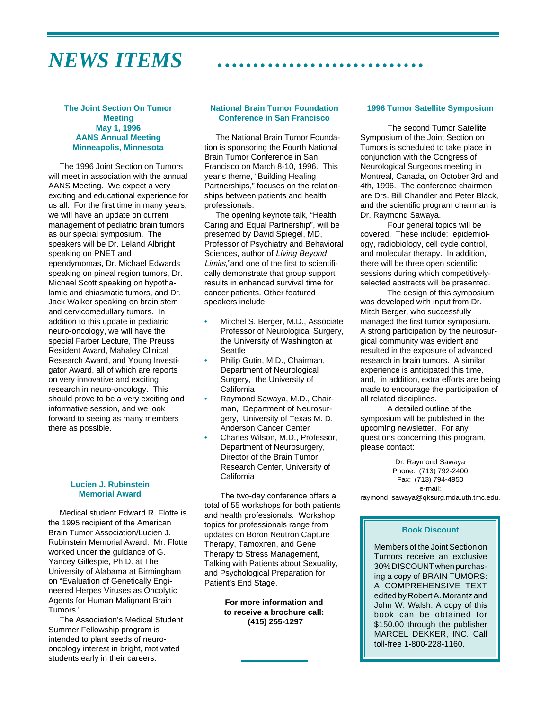# *NEWS ITEMS* aaaaaaaaaaaaaaaaaaaaaaaaaaaaa

#### **The Joint Section On Tumor Meeting May 1, 1996 AANS Annual Meeting Minneapolis, Minnesota**

 The 1996 Joint Section on Tumors will meet in association with the annual AANS Meeting. We expect a very exciting and educational experience for us all. For the first time in many years, we will have an update on current management of pediatric brain tumors as our special symposium. The speakers will be Dr. Leland Albright speaking on PNET and ependymomas, Dr. Michael Edwards speaking on pineal region tumors, Dr. Michael Scott speaking on hypothalamic and chiasmatic tumors, and Dr. Jack Walker speaking on brain stem and cervicomedullary tumors. In addition to this update in pediatric neuro-oncology, we will have the special Farber Lecture, The Preuss Resident Award, Mahaley Clinical Research Award, and Young Investigator Award, all of which are reports on very innovative and exciting research in neuro-oncology. This should prove to be a very exciting and informative session, and we look forward to seeing as many members there as possible.

#### **Lucien J. Rubinstein Memorial Award**

 Medical student Edward R. Flotte is the 1995 recipient of the American Brain Tumor Association/Lucien J. Rubinstein Memorial Award. Mr. Flotte worked under the guidance of G. Yancey Gillespie, Ph.D. at The University of Alabama at Birmingham on "Evaluation of Genetically Engineered Herpes Viruses as Oncolytic Agents for Human Malignant Brain Tumors."

 The Association's Medical Student Summer Fellowship program is intended to plant seeds of neurooncology interest in bright, motivated students early in their careers.

#### **National Brain Tumor Foundation Conference in San Francisco**

 The National Brain Tumor Foundation is sponsoring the Fourth National Brain Tumor Conference in San Francisco on March 8-10, 1996. This year's theme, "Building Healing Partnerships," focuses on the relationships between patients and health professionals.

 The opening keynote talk, "Health Caring and Equal Partnership", will be presented by David Spiegel, MD, Professor of Psychiatry and Behavioral Sciences, author of Living Beyond Limits,"and one of the first to scientifically demonstrate that group support results in enhanced survival time for cancer patients. Other featured speakers include:

- Mitchel S. Berger, M.D., Associate Professor of Neurological Surgery, the University of Washington at **Seattle**
- Philip Gutin, M.D., Chairman, Department of Neurological Surgery, the University of **California**
- Raymond Sawaya, M.D., Chairman, Department of Neurosurgery, University of Texas M. D. Anderson Cancer Center
- Charles Wilson, M.D., Professor, Department of Neurosurgery, Director of the Brain Tumor Research Center, University of California

The two-day conference offers a total of 55 workshops for both patients and health professionals. Workshop topics for professionals range from updates on Boron Neutron Capture Therapy, Tamoxifen, and Gene Therapy to Stress Management, Talking with Patients about Sexuality, and Psychological Preparation for Patient's End Stage.

> **For more information and to receive a brochure call: (415) 255-1297**

#### **1996 Tumor Satellite Symposium**

 The second Tumor Satellite Symposium of the Joint Section on Tumors is scheduled to take place in conjunction with the Congress of Neurological Surgeons meeting in Montreal, Canada, on October 3rd and 4th, 1996. The conference chairmen are Drs. Bill Chandler and Peter Black, and the scientific program chairman is Dr. Raymond Sawaya.

 Four general topics will be covered. These include: epidemiology, radiobiology, cell cycle control, and molecular therapy. In addition, there will be three open scientific sessions during which competitivelyselected abstracts will be presented.

 The design of this symposium was developed with input from Dr. Mitch Berger, who successfully managed the first tumor symposium. A strong participation by the neurosurgical community was evident and resulted in the exposure of advanced research in brain tumors. A similar experience is anticipated this time, and, in addition, extra efforts are being made to encourage the participation of all related disciplines.

 A detailed outline of the symposium will be published in the upcoming newsletter. For any questions concerning this program, please contact:

Dr. Raymond Sawaya Phone: (713) 792-2400 Fax: (713) 794-4950 e-mail: raymond\_sawaya@qksurg.mda.uth.tmc.edu.

#### **Book Discount**

Members of the Joint Section on Tumors receive an exclusive 30% DISCOUNT when purchasing a copy of BRAIN TUMORS: A COMPREHENSIVE TEXT edited by Robert A. Morantz and John W. Walsh. A copy of this book can be obtained for \$150.00 through the publisher MARCEL DEKKER, INC. Call toll-free 1-800-228-1160.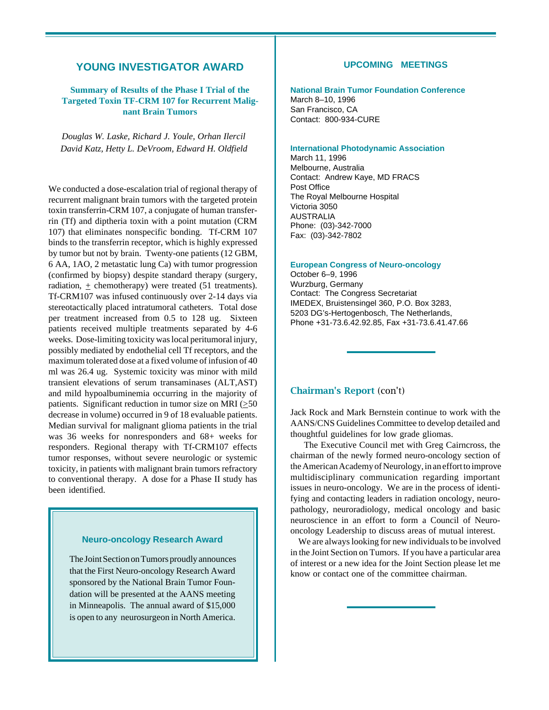# **YOUNG INVESTIGATOR AWARD**

# **Summary of Results of the Phase I Trial of the Targeted Toxin TF-CRM 107 for Recurrent Malignant Brain Tumors**

*Douglas W. Laske, Richard J. Youle, Orhan Ilercil David Katz, Hetty L. DeVroom, Edward H. Oldfield*

We conducted a dose-escalation trial of regional therapy of recurrent malignant brain tumors with the targeted protein toxin transferrin-CRM 107, a conjugate of human transferrin (Tf) and diptheria toxin with a point mutation (CRM 107) that eliminates nonspecific bonding. Tf-CRM 107 binds to the transferrin receptor, which is highly expressed by tumor but not by brain. Twenty-one patients (12 GBM, 6 AA, 1AO, 2 metastatic lung Ca) with tumor progression (confirmed by biopsy) despite standard therapy (surgery, radiation,  $\pm$  chemotherapy) were treated (51 treatments). Tf-CRM107 was infused continuously over 2-14 days via stereotactically placed intratumoral catheters. Total dose per treatment increased from 0.5 to 128 ug. Sixteen patients received multiple treatments separated by 4-6 weeks. Dose-limiting toxicity was local peritumoral injury, possibly mediated by endothelial cell Tf receptors, and the maximum tolerated dose at a fixed volume of infusion of 40 ml was 26.4 ug. Systemic toxicity was minor with mild transient elevations of serum transaminases (ALT,AST) and mild hypoalbuminemia occurring in the majority of patients. Significant reduction in tumor size on MRI ( $\geq$ 50) decrease in volume) occurred in 9 of 18 evaluable patients. Median survival for malignant glioma patients in the trial was 36 weeks for nonresponders and 68+ weeks for responders. Regional therapy with Tf-CRM107 effects tumor responses, without severe neurologic or systemic toxicity, in patients with malignant brain tumors refractory to conventional therapy. A dose for a Phase II study has been identified.

#### **Neuro-oncology Research Award**

The Joint Section on Tumors proudly announces that the First Neuro-oncology Research Award sponsored by the National Brain Tumor Foundation will be presented at the AANS meeting in Minneapolis. The annual award of \$15,000 is open to any neurosurgeon in North America.

#### **UPCOMING MEETINGS**

**National Brain Tumor Foundation Conference** March 8–10, 1996 San Francisco, CA Contact: 800-934-CURE

# **International Photodynamic Association**

March 11, 1996 Melbourne, Australia Contact: Andrew Kaye, MD FRACS Post Office The Royal Melbourne Hospital Victoria 3050 AUSTRALIA Phone: (03)-342-7000 Fax: (03)-342-7802

**European Congress of Neuro-oncology**

October 6–9, 1996 Wurzburg, Germany Contact: The Congress Secretariat IMEDEX, Bruistensingel 360, P.O. Box 3283, 5203 DG's-Hertogenbosch, The Netherlands, Phone +31-73.6.42.92.85, Fax +31-73.6.41.47.66

#### Chairman's Report (con't)

Jack Rock and Mark Bernstein continue to work with the AANS/CNS Guidelines Committee to develop detailed and thoughtful guidelines for low grade gliomas.

 The Executive Council met with Greg Cairncross, the chairman of the newly formed neuro-oncology section of the American Academy of Neurology, in an effort to improve multidisciplinary communication regarding important issues in neuro-oncology. We are in the process of identifying and contacting leaders in radiation oncology, neuropathology, neuroradiology, medical oncology and basic neuroscience in an effort to form a Council of Neurooncology Leadership to discuss areas of mutual interest.

 We are always looking for new individuals to be involved in the Joint Section on Tumors. If you have a particular area of interest or a new idea for the Joint Section please let me know or contact one of the committee chairman.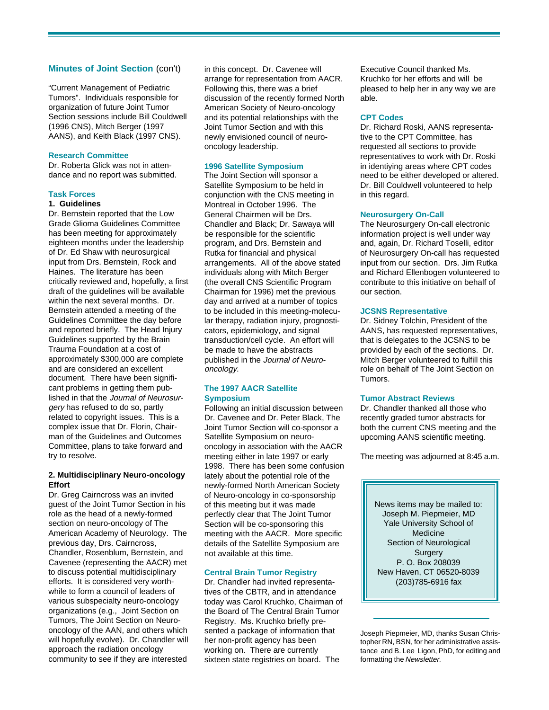#### **Minutes of Joint Section** (con't) in this concept. Dr. Cavenee will

"Current Management of Pediatric Tumors". Individuals responsible for organization of future Joint Tumor Section sessions include Bill Couldwell (1996 CNS), Mitch Berger (1997 AANS), and Keith Black (1997 CNS).

#### **Research Committee**

Dr. Roberta Glick was not in attendance and no report was submitted.

#### **Task Forces**

#### **1. Guidelines**

Dr. Bernstein reported that the Low Grade Glioma Guidelines Committee has been meeting for approximately eighteen months under the leadership of Dr. Ed Shaw with neurosurgical input from Drs. Bernstein, Rock and Haines. The literature has been critically reviewed and, hopefully, a first draft of the guidelines will be available within the next several months. Dr. Bernstein attended a meeting of the Guidelines Committee the day before and reported briefly. The Head Injury Guidelines supported by the Brain Trauma Foundation at a cost of approximately \$300,000 are complete and are considered an excellent document. There have been significant problems in getting them published in that the Journal of Neurosurgery has refused to do so, partly related to copyright issues. This is a complex issue that Dr. Florin, Chairman of the Guidelines and Outcomes Committee, plans to take forward and try to resolve.

#### **2. Multidisciplinary Neuro-oncology Effort**

Dr. Greg Cairncross was an invited guest of the Joint Tumor Section in his role as the head of a newly-formed section on neuro-oncology of The American Academy of Neurology. The previous day, Drs. Cairncross, Chandler, Rosenblum, Bernstein, and Cavenee (representing the AACR) met to discuss potential multidisciplinary efforts. It is considered very worthwhile to form a council of leaders of various subspecialty neuro-oncology organizations (e.g., Joint Section on Tumors, The Joint Section on Neurooncology of the AAN, and others which will hopefully evolve). Dr. Chandler will approach the radiation oncology community to see if they are interested

arrange for representation from AACR. Following this, there was a brief discussion of the recently formed North American Society of Neuro-oncology and its potential relationships with the Joint Tumor Section and with this newly envisioned council of neurooncology leadership.

#### **1996 Satellite Symposium**

The Joint Section will sponsor a Satellite Symposium to be held in conjunction with the CNS meeting in Montreal in October 1996. The General Chairmen will be Drs. Chandler and Black; Dr. Sawaya will be responsible for the scientific program, and Drs. Bernstein and Rutka for financial and physical arrangements. All of the above stated individuals along with Mitch Berger (the overall CNS Scientific Program Chairman for 1996) met the previous day and arrived at a number of topics to be included in this meeting-molecular therapy, radiation injury, prognosticators, epidemiology, and signal transduction/cell cycle. An effort will be made to have the abstracts published in the Journal of Neurooncology.

#### **The 1997 AACR Satellite Symposium**

Following an initial discussion between Dr. Cavenee and Dr. Peter Black, The Joint Tumor Section will co-sponsor a Satellite Symposium on neurooncology in association with the AACR meeting either in late 1997 or early 1998. There has been some confusion lately about the potential role of the newly-formed North American Society of Neuro-oncology in co-sponsorship of this meeting but it was made perfectly clear that The Joint Tumor Section will be co-sponsoring this meeting with the AACR. More specific details of the Satellite Symposium are not available at this time.

#### **Central Brain Tumor Registry**

Dr. Chandler had invited representatives of the CBTR, and in attendance today was Carol Kruchko, Chairman of the Board of The Central Brain Tumor Registry. Ms. Kruchko briefly presented a package of information that her non-profit agency has been working on. There are currently sixteen state registries on board. The

Executive Council thanked Ms. Kruchko for her efforts and will be pleased to help her in any way we are able.

## **CPT Codes**

Dr. Richard Roski, AANS representative to the CPT Committee, has requested all sections to provide representatives to work with Dr. Roski in identiying areas where CPT codes need to be either developed or altered. Dr. Bill Couldwell volunteered to help in this regard.

#### **Neurosurgery On-Call**

The Neurosurgery On-call electronic information project is well under way and, again, Dr. Richard Toselli, editor of Neurosurgery On-call has requested input from our section. Drs. Jim Rutka and Richard Ellenbogen volunteered to contribute to this initiative on behalf of our section.

#### **JCSNS Representative**

Dr. Sidney Tolchin, President of the AANS, has requested representatives, that is delegates to the JCSNS to be provided by each of the sections. Dr. Mitch Berger volunteered to fulfill this role on behalf of The Joint Section on Tumors.

#### **Tumor Abstract Reviews**

Dr. Chandler thanked all those who recently graded tumor abstracts for both the current CNS meeting and the upcoming AANS scientific meeting.

The meeting was adjourned at 8:45 a.m.

News items may be mailed to: Joseph M. Piepmeier, MD Yale University School of Medicine Section of Neurological **Surgery** P. O. Box 208039 New Haven, CT 06520-8039 (203)785-6916 fax

Joseph Piepmeier, MD, thanks Susan Christopher RN, BSN, for her administrative assistance and B. Lee Ligon, PhD, for editing and formatting the Newsletter.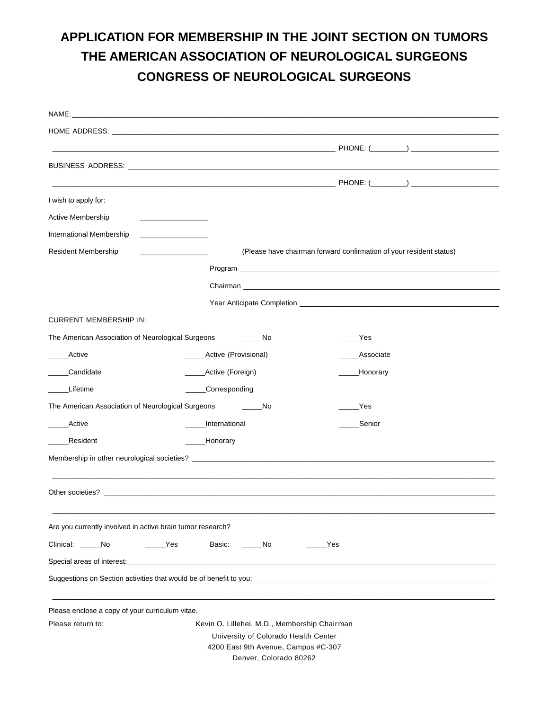# **APPLICATION FOR MEMBERSHIP IN THE JOINT SECTION ON TUMORS THE AMERICAN ASSOCIATION OF NEUROLOGICAL SURGEONS CONGRESS OF NEUROLOGICAL SURGEONS**

| I wish to apply for:                                       |                                              |                                     |     |                                                                                                                                                                                                                                     |
|------------------------------------------------------------|----------------------------------------------|-------------------------------------|-----|-------------------------------------------------------------------------------------------------------------------------------------------------------------------------------------------------------------------------------------|
| Active Membership                                          | the control of the control of the control of |                                     |     |                                                                                                                                                                                                                                     |
| International Membership                                   |                                              |                                     |     |                                                                                                                                                                                                                                     |
| <b>Resident Membership</b>                                 |                                              |                                     |     | (Please have chairman forward confirmation of your resident status)                                                                                                                                                                 |
|                                                            |                                              |                                     |     |                                                                                                                                                                                                                                     |
|                                                            |                                              |                                     |     | Chairman <b>Chairman</b> and the contract of the contract of the contract of the contract of the contract of the contract of the contract of the contract of the contract of the contract of the contract of the contract of the co |
|                                                            |                                              |                                     |     |                                                                                                                                                                                                                                     |
| <b>CURRENT MEMBERSHIP IN:</b>                              |                                              |                                     |     |                                                                                                                                                                                                                                     |
| The American Association of Neurological Surgeons          | a a shekarar No                              |                                     |     | Yes                                                                                                                                                                                                                                 |
| Active                                                     | _____Active (Provisional)                    |                                     |     | Associate                                                                                                                                                                                                                           |
| Candidate                                                  | _____Active (Foreign)                        |                                     |     | ____Honorary                                                                                                                                                                                                                        |
| Lifetime                                                   | ____Corresponding                            |                                     |     |                                                                                                                                                                                                                                     |
| The American Association of Neurological Surgeons          |                                              | No                                  |     | _Yes                                                                                                                                                                                                                                |
| Active                                                     | International                                |                                     |     | Senior                                                                                                                                                                                                                              |
| Resident                                                   | _Honorary                                    |                                     |     |                                                                                                                                                                                                                                     |
|                                                            |                                              |                                     |     |                                                                                                                                                                                                                                     |
|                                                            |                                              |                                     |     |                                                                                                                                                                                                                                     |
|                                                            |                                              |                                     |     |                                                                                                                                                                                                                                     |
|                                                            |                                              |                                     |     |                                                                                                                                                                                                                                     |
| Are you currently involved in active brain tumor research? |                                              |                                     |     |                                                                                                                                                                                                                                     |
| Clinical: No                                               | $\rule{1em}{0.15mm}$ Yes<br>Basic:           | No                                  | Yes |                                                                                                                                                                                                                                     |
| Special areas of interest:                                 |                                              |                                     |     |                                                                                                                                                                                                                                     |
|                                                            |                                              |                                     |     |                                                                                                                                                                                                                                     |
|                                                            |                                              |                                     |     |                                                                                                                                                                                                                                     |
| Please enclose a copy of your curriculum vitae.            |                                              |                                     |     |                                                                                                                                                                                                                                     |
| Please return to:                                          | Kevin O. Lillehei, M.D., Membership Chairman |                                     |     |                                                                                                                                                                                                                                     |
|                                                            | University of Colorado Health Center         |                                     |     |                                                                                                                                                                                                                                     |
|                                                            |                                              | 4200 East 9th Avenue, Campus #C-307 |     |                                                                                                                                                                                                                                     |
|                                                            |                                              | Denver, Colorado 80262              |     |                                                                                                                                                                                                                                     |